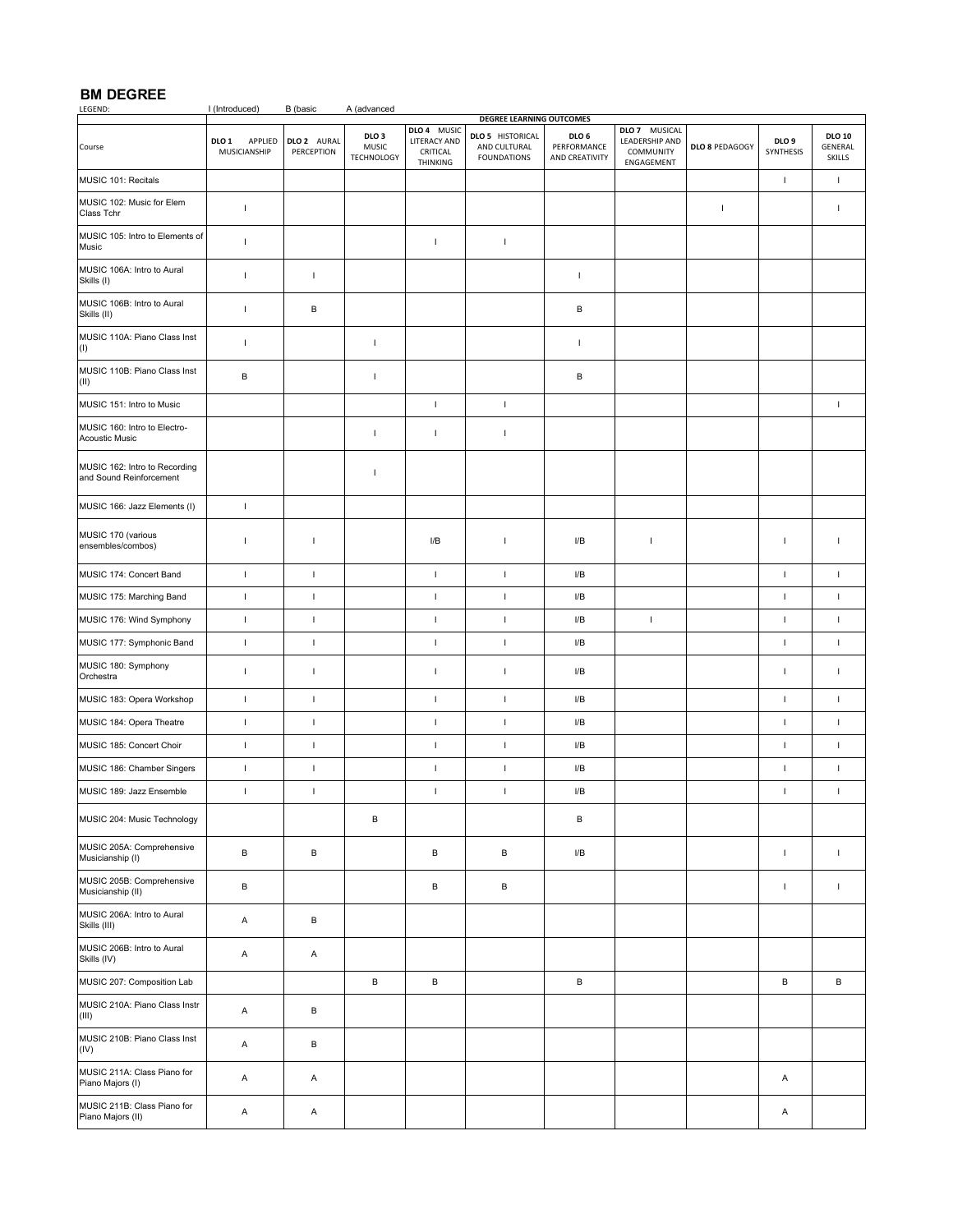**BM DEGREE** I (Introduced) B (basic A (advanced **DEGREE LEARNING OUTCOMES**

|                                                          |                                  |                           |                                                       |                                                     | <b>DEGILE EFWINING OD I COINE.</b>                            |                                                   |                                                            |                |                               |                                    |
|----------------------------------------------------------|----------------------------------|---------------------------|-------------------------------------------------------|-----------------------------------------------------|---------------------------------------------------------------|---------------------------------------------------|------------------------------------------------------------|----------------|-------------------------------|------------------------------------|
| Course                                                   | APPLIED<br>DLO 1<br>MUSICIANSHIP | DLO 2 AURAL<br>PERCEPTION | DLO <sub>3</sub><br><b>MUSIC</b><br><b>TECHNOLOGY</b> | DLO 4 MUSIC<br>LITERACY AND<br>CRITICAL<br>THINKING | <b>DLO 5 HISTORICAL</b><br>AND CULTURAL<br><b>FOUNDATIONS</b> | DLO <sub>6</sub><br>PERFORMANCE<br>AND CREATIVITY | DLO 7 MUSICAL<br>LEADERSHIP AND<br>COMMUNITY<br>ENGAGEMENT | DLO 8 PEDAGOGY | DLO <sub>9</sub><br>SYNTHESIS | <b>DLO 10</b><br>GENERAL<br>SKILLS |
| MUSIC 101: Recitals                                      |                                  |                           |                                                       |                                                     |                                                               |                                                   |                                                            |                | $\mathbf{I}$                  | $\mathbf{I}$                       |
| MUSIC 102: Music for Elem<br>Class Tchr                  | $\mathbf{I}$                     |                           |                                                       |                                                     |                                                               |                                                   |                                                            | $\overline{1}$ |                               | L                                  |
| MUSIC 105: Intro to Elements of<br>Music                 | $\mathbf{I}$                     |                           |                                                       | $\mathbf{I}$                                        | $\mathsf I$                                                   |                                                   |                                                            |                |                               |                                    |
| MUSIC 106A: Intro to Aural<br>Skills (I)                 | Τ.                               | $\mathbf{I}$              |                                                       |                                                     |                                                               | $\mathbf{I}$                                      |                                                            |                |                               |                                    |
| MUSIC 106B: Intro to Aural<br>Skills (II)                | $\mathbf{I}$                     | B                         |                                                       |                                                     |                                                               | $\, {\bf B}$                                      |                                                            |                |                               |                                    |
| MUSIC 110A: Piano Class Inst<br>(1)                      | $\mathbf{I}$                     |                           | $\mathsf{I}$                                          |                                                     |                                                               | $\mathbf{I}$                                      |                                                            |                |                               |                                    |
| MUSIC 110B: Piano Class Inst<br>(II)                     | В                                |                           | $\mathbf{I}$                                          |                                                     |                                                               | B                                                 |                                                            |                |                               |                                    |
| MUSIC 151: Intro to Music                                |                                  |                           |                                                       | $\mathbf{I}$                                        | $\mathbf{I}$                                                  |                                                   |                                                            |                |                               | $\mathbf{I}$                       |
| MUSIC 160: Intro to Electro-<br><b>Acoustic Music</b>    |                                  |                           | $\mathsf{I}$                                          | $\mathbf{I}$                                        | $\mathsf I$                                                   |                                                   |                                                            |                |                               |                                    |
| MUSIC 162: Intro to Recording<br>and Sound Reinforcement |                                  |                           | $\mathsf{I}$                                          |                                                     |                                                               |                                                   |                                                            |                |                               |                                    |
| MUSIC 166: Jazz Elements (I)                             | $\mathbf{I}$                     |                           |                                                       |                                                     |                                                               |                                                   |                                                            |                |                               |                                    |
| MUSIC 170 (various<br>ensembles/combos)                  | $\mathbf{I}$                     | $\mathsf{I}$              |                                                       | I/B                                                 | $\overline{\phantom{a}}$                                      | I/B                                               | T                                                          |                | $\mathbf{I}$                  | T                                  |
| MUSIC 174: Concert Band                                  | $\mathbf{I}$                     | $\mathbf{I}$              |                                                       | $\mathbf{I}$                                        | $\mathsf I$                                                   | I/B                                               |                                                            |                | $\mathsf I$                   | $\mathbf{I}$                       |
| MUSIC 175: Marching Band                                 | $\mathsf I$                      | $\mathbf{I}$              |                                                       | $\mathbf{I}$                                        | $\mathsf I$                                                   | ${\sf I/B}$                                       |                                                            |                | $\mathbf{I}$                  | $\mathbf{I}$                       |
| MUSIC 176: Wind Symphony                                 | $\mathsf I$                      | $\mathsf{I}$              |                                                       | $\mathbf{I}$                                        | $\mathsf I$                                                   | ${\sf I/B}$                                       | $\mathsf I$                                                |                | $\mathsf I$                   | $\mathbf{I}$                       |
| MUSIC 177: Symphonic Band                                | $\mathsf I$                      | $\mathsf I$               |                                                       | $\mathbf{I}$                                        | $\mathsf I$                                                   | ${\sf I/B}$                                       |                                                            |                | $\mathbf{I}$                  | $\mathbf I$                        |
| MUSIC 180: Symphony<br>Orchestra                         | $\mathbf{I}$                     | $\mathsf I$               |                                                       | $\mathbf{I}$                                        | $\mathsf I$                                                   | ${\sf I/B}$                                       |                                                            |                | $\mathbf{I}$                  | $\mathbf{I}$                       |
| MUSIC 183: Opera Workshop                                | $\mathsf I$                      | $\mathsf I$               |                                                       | $\mathbf{I}$                                        | $\mathsf I$                                                   | ${\sf I/B}$                                       |                                                            |                | $\mathbf{I}$                  | $\mathbf{I}$                       |
| MUSIC 184: Opera Theatre                                 | $\mathsf I$                      | $\mathsf I$               |                                                       | $\mathbf{I}$                                        | $\mathbf{I}$                                                  | ${\sf I/B}$                                       |                                                            |                | $\mathsf I$                   | $\mathbf I$                        |
| MUSIC 185: Concert Choir                                 | $\mathbf I$                      | $\mathbf{I}$              |                                                       | $\mathbf{I}$                                        | $\mathsf I$                                                   | I/B                                               |                                                            |                | $\mathbf{I}$                  | $\mathbf I$                        |
| MUSIC 186: Chamber Singers                               | $\mathsf I$                      | $\mathbf{I}$              |                                                       | $\mathbf{I}$                                        | $\mathbf{I}$                                                  | ${\sf I/B}$                                       |                                                            |                | $\mathsf I$                   | $\mathbf{I}$                       |
| MUSIC 189: Jazz Ensemble                                 | $\mathbf{I}$                     | $\mathbf I$               |                                                       | $\mathbf{I}$                                        | $\mathsf I$                                                   | I/B                                               |                                                            |                | $\mathsf I$                   | $\mathbf{I}$                       |
| MUSIC 204: Music Technology                              |                                  |                           | В                                                     |                                                     |                                                               | В                                                 |                                                            |                |                               |                                    |
| MUSIC 205A: Comprehensive<br>Musicianship (I)            | В                                | В                         |                                                       | $\sf B$                                             | $\, {\bf B}$                                                  | I/B                                               |                                                            |                | $\mathbf{I}$                  | $\mathbf{L}$                       |
| MUSIC 205B: Comprehensive<br>Musicianship (II)           | $\, {\bf B}$                     |                           |                                                       | в                                                   | $\, {\bf B}$                                                  |                                                   |                                                            |                | $\mathbf{I}$                  | $\mathbf{I}$                       |
| MUSIC 206A: Intro to Aural<br>Skills (III)               | Α                                | $\, {\sf B}$              |                                                       |                                                     |                                                               |                                                   |                                                            |                |                               |                                    |
| MUSIC 206B: Intro to Aural<br>Skills (IV)                | Α                                | Α                         |                                                       |                                                     |                                                               |                                                   |                                                            |                |                               |                                    |
| MUSIC 207: Composition Lab                               |                                  |                           | $\sf B$                                               | $\, {\bf B}$                                        |                                                               | $\, {\bf B}$                                      |                                                            |                | в                             | $\, {\bf B}$                       |
| MUSIC 210A: Piano Class Instr<br>(III)                   | Α                                | B                         |                                                       |                                                     |                                                               |                                                   |                                                            |                |                               |                                    |
| MUSIC 210B: Piano Class Inst<br>(IV)                     | Α                                | В                         |                                                       |                                                     |                                                               |                                                   |                                                            |                |                               |                                    |
| MUSIC 211A: Class Piano for<br>Piano Majors (I)          | Α                                | Α                         |                                                       |                                                     |                                                               |                                                   |                                                            |                | А                             |                                    |
| MUSIC 211B: Class Piano for<br>Piano Majors (II)         | Α                                | Α                         |                                                       |                                                     |                                                               |                                                   |                                                            |                | Α                             |                                    |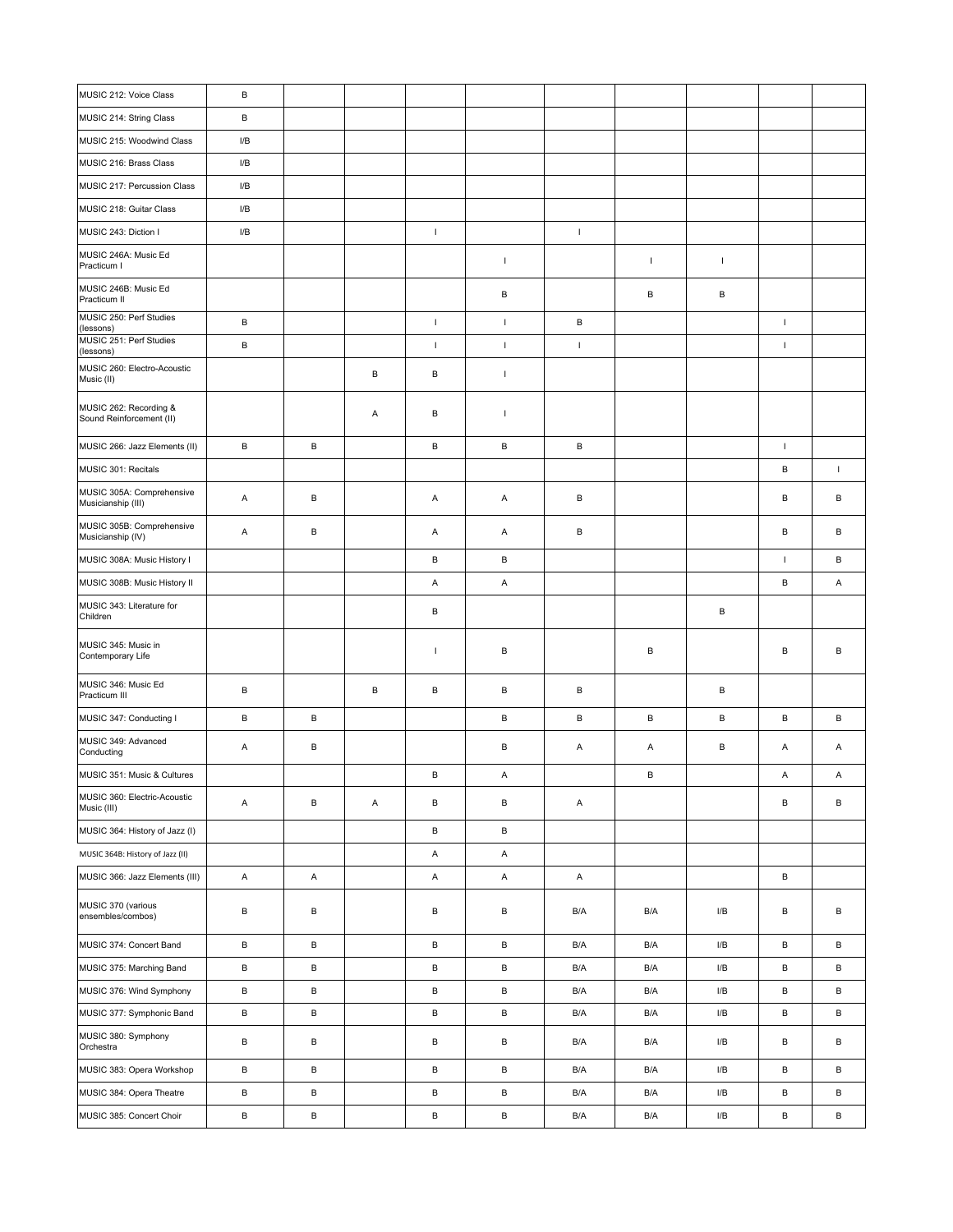| $\, {\bf B}$<br>MUSIC 214: String Class<br>MUSIC 215: Woodwind Class<br>I/B<br>MUSIC 216: Brass Class<br>I/B<br>MUSIC 217: Percussion Class<br>I/B<br>MUSIC 218: Guitar Class<br>I/B<br>$\mathbf{I}$<br>$\mathbf I$<br>MUSIC 243: Diction I<br>I/B<br>MUSIC 246A: Music Ed<br>$\mathsf I$<br>$\mathbf{I}$<br>$\mathbf{I}$<br>Practicum I<br>MUSIC 246B: Music Ed<br>В<br>B<br>В<br>Practicum II<br>MUSIC 250: Perf Studies<br>$\mathbf{I}$<br>В<br>$\mathbf{I}$<br>В<br>$\mathsf I$<br>(lessons)<br>MUSIC 251: Perf Studies<br>В<br>$\mathbf{I}$<br>$\mathbf{I}$<br>$\mathsf I$<br>$\mathbf{I}$<br>(lessons)<br>MUSIC 260: Electro-Acoustic<br>B<br>B<br>$\mathbf{I}$<br>Music (II)<br>MUSIC 262: Recording &<br>Α<br>B<br>$\mathbf{I}$<br>Sound Reinforcement (II)<br>В<br>$\sf B$<br>$\,$ B<br>В<br>$\, {\sf B}$<br>$\mathbf{I}$<br>MUSIC 266: Jazz Elements (II)<br>$\, {\sf B}$<br>MUSIC 301: Recitals<br>$\mathbf{I}$<br>MUSIC 305A: Comprehensive<br>B<br>B<br>Α<br>Α<br>Α<br>B<br>В<br>Musicianship (III)<br>MUSIC 305B: Comprehensive<br>Α<br>В<br>Α<br>В<br>B<br>Α<br>В<br>Musicianship (IV)<br>MUSIC 308A: Music History I<br>B<br>В<br>$\mathbf{I}$<br>В<br>MUSIC 308B: Music History II<br>Α<br>Α<br>В<br>A<br>MUSIC 343: Literature for<br>В<br>В<br>Children<br>MUSIC 345: Music in<br>В<br>B<br>В<br>B<br>$\overline{1}$<br>Contemporary Life<br>MUSIC 346: Music Ed<br>B<br>B<br>B<br>В<br>B<br>B<br>Practicum III<br>В<br>B<br>В<br>B<br>$\, {\sf B}$<br>В<br>MUSIC 347: Conducting I<br>B<br>B<br>MUSIC 349: Advanced<br>В<br>В<br>В<br>Α<br>Α<br>Α<br>Α<br>Α<br>Conducting<br>MUSIC 351: Music & Cultures<br>B<br>Α<br>B<br>A<br>A<br>MUSIC 360: Electric-Acoustic<br>В<br>B<br>В<br>В<br>В<br>Α<br>Α<br>Α<br>Music (III)<br>MUSIC 364: History of Jazz (I)<br>В<br>В<br>A<br>А<br>MUSIC 364B: History of Jazz (II)<br>A<br>MUSIC 366: Jazz Elements (III)<br>Α<br>Α<br>Α<br>A<br>В<br>MUSIC 370 (various<br>В<br>В<br>В<br>В<br>В<br>B/A<br>B/A<br>I/B<br>В<br>ensembles/combos)<br>$\, {\bf B}$<br>MUSIC 374: Concert Band<br>В<br>В<br>В<br>B/A<br>B/A<br>${\sf I/B}$<br>В<br>В<br>$\, {\bf B}$<br>В<br>В<br>В<br>B/A<br>${\sf I/B}$<br>В<br>В<br>MUSIC 375: Marching Band<br>B/A<br>В<br>$\, {\bf B}$<br>$\, {\bf B}$<br>В<br>${\sf I/B}$<br>В<br>В<br>MUSIC 376: Wind Symphony<br>B/A<br>B/A<br>$\, {\sf B}$<br>$\, {\bf B}$<br>$\, {\bf B}$<br>В<br>В<br>I/B<br>В<br>MUSIC 377: Symphonic Band<br>B/A<br>B/A<br>MUSIC 380: Symphony<br>$\, {\bf B}$<br>В<br>В<br>В<br>I/B<br>В<br>B/A<br>B/A<br>B<br>Orchestra<br>$\, {\bf B}$<br>$\, {\bf B}$<br>$\, {\bf B}$<br>В<br>MUSIC 383: Opera Workshop<br>B/A<br>${\sf I/B}$<br>В<br>В<br>B/A<br>$\, {\bf B}$<br>$\, {\bf B}$<br>$\, {\bf B}$<br>В<br>В<br>I/B<br>B<br>MUSIC 384: Opera Theatre<br>B/A<br>B/A<br>$\, {\sf B}$<br>$\, {\bf B}$<br>$\, {\bf B}$<br>В<br>MUSIC 385: Concert Choir<br>I/B<br>В<br>В<br>B/A<br>B/A | MUSIC 212: Voice Class | В |  |  |  |  |  |
|--------------------------------------------------------------------------------------------------------------------------------------------------------------------------------------------------------------------------------------------------------------------------------------------------------------------------------------------------------------------------------------------------------------------------------------------------------------------------------------------------------------------------------------------------------------------------------------------------------------------------------------------------------------------------------------------------------------------------------------------------------------------------------------------------------------------------------------------------------------------------------------------------------------------------------------------------------------------------------------------------------------------------------------------------------------------------------------------------------------------------------------------------------------------------------------------------------------------------------------------------------------------------------------------------------------------------------------------------------------------------------------------------------------------------------------------------------------------------------------------------------------------------------------------------------------------------------------------------------------------------------------------------------------------------------------------------------------------------------------------------------------------------------------------------------------------------------------------------------------------------------------------------------------------------------------------------------------------------------------------------------------------------------------------------------------------------------------------------------------------------------------------------------------------------------------------------------------------------------------------------------------------------------------------------------------------------------------------------------------------------------------------------------------------------------------------------------------------------------------------------------------------------------------------------------------------------------------------------------------------------------------------------------------------------------------------------------------------------------------------------------------------------------------------------------------------------------------------------------------------------------------------------|------------------------|---|--|--|--|--|--|
|                                                                                                                                                                                                                                                                                                                                                                                                                                                                                                                                                                                                                                                                                                                                                                                                                                                                                                                                                                                                                                                                                                                                                                                                                                                                                                                                                                                                                                                                                                                                                                                                                                                                                                                                                                                                                                                                                                                                                                                                                                                                                                                                                                                                                                                                                                                                                                                                                                                                                                                                                                                                                                                                                                                                                                                                                                                                                                  |                        |   |  |  |  |  |  |
|                                                                                                                                                                                                                                                                                                                                                                                                                                                                                                                                                                                                                                                                                                                                                                                                                                                                                                                                                                                                                                                                                                                                                                                                                                                                                                                                                                                                                                                                                                                                                                                                                                                                                                                                                                                                                                                                                                                                                                                                                                                                                                                                                                                                                                                                                                                                                                                                                                                                                                                                                                                                                                                                                                                                                                                                                                                                                                  |                        |   |  |  |  |  |  |
|                                                                                                                                                                                                                                                                                                                                                                                                                                                                                                                                                                                                                                                                                                                                                                                                                                                                                                                                                                                                                                                                                                                                                                                                                                                                                                                                                                                                                                                                                                                                                                                                                                                                                                                                                                                                                                                                                                                                                                                                                                                                                                                                                                                                                                                                                                                                                                                                                                                                                                                                                                                                                                                                                                                                                                                                                                                                                                  |                        |   |  |  |  |  |  |
|                                                                                                                                                                                                                                                                                                                                                                                                                                                                                                                                                                                                                                                                                                                                                                                                                                                                                                                                                                                                                                                                                                                                                                                                                                                                                                                                                                                                                                                                                                                                                                                                                                                                                                                                                                                                                                                                                                                                                                                                                                                                                                                                                                                                                                                                                                                                                                                                                                                                                                                                                                                                                                                                                                                                                                                                                                                                                                  |                        |   |  |  |  |  |  |
|                                                                                                                                                                                                                                                                                                                                                                                                                                                                                                                                                                                                                                                                                                                                                                                                                                                                                                                                                                                                                                                                                                                                                                                                                                                                                                                                                                                                                                                                                                                                                                                                                                                                                                                                                                                                                                                                                                                                                                                                                                                                                                                                                                                                                                                                                                                                                                                                                                                                                                                                                                                                                                                                                                                                                                                                                                                                                                  |                        |   |  |  |  |  |  |
|                                                                                                                                                                                                                                                                                                                                                                                                                                                                                                                                                                                                                                                                                                                                                                                                                                                                                                                                                                                                                                                                                                                                                                                                                                                                                                                                                                                                                                                                                                                                                                                                                                                                                                                                                                                                                                                                                                                                                                                                                                                                                                                                                                                                                                                                                                                                                                                                                                                                                                                                                                                                                                                                                                                                                                                                                                                                                                  |                        |   |  |  |  |  |  |
|                                                                                                                                                                                                                                                                                                                                                                                                                                                                                                                                                                                                                                                                                                                                                                                                                                                                                                                                                                                                                                                                                                                                                                                                                                                                                                                                                                                                                                                                                                                                                                                                                                                                                                                                                                                                                                                                                                                                                                                                                                                                                                                                                                                                                                                                                                                                                                                                                                                                                                                                                                                                                                                                                                                                                                                                                                                                                                  |                        |   |  |  |  |  |  |
|                                                                                                                                                                                                                                                                                                                                                                                                                                                                                                                                                                                                                                                                                                                                                                                                                                                                                                                                                                                                                                                                                                                                                                                                                                                                                                                                                                                                                                                                                                                                                                                                                                                                                                                                                                                                                                                                                                                                                                                                                                                                                                                                                                                                                                                                                                                                                                                                                                                                                                                                                                                                                                                                                                                                                                                                                                                                                                  |                        |   |  |  |  |  |  |
|                                                                                                                                                                                                                                                                                                                                                                                                                                                                                                                                                                                                                                                                                                                                                                                                                                                                                                                                                                                                                                                                                                                                                                                                                                                                                                                                                                                                                                                                                                                                                                                                                                                                                                                                                                                                                                                                                                                                                                                                                                                                                                                                                                                                                                                                                                                                                                                                                                                                                                                                                                                                                                                                                                                                                                                                                                                                                                  |                        |   |  |  |  |  |  |
|                                                                                                                                                                                                                                                                                                                                                                                                                                                                                                                                                                                                                                                                                                                                                                                                                                                                                                                                                                                                                                                                                                                                                                                                                                                                                                                                                                                                                                                                                                                                                                                                                                                                                                                                                                                                                                                                                                                                                                                                                                                                                                                                                                                                                                                                                                                                                                                                                                                                                                                                                                                                                                                                                                                                                                                                                                                                                                  |                        |   |  |  |  |  |  |
|                                                                                                                                                                                                                                                                                                                                                                                                                                                                                                                                                                                                                                                                                                                                                                                                                                                                                                                                                                                                                                                                                                                                                                                                                                                                                                                                                                                                                                                                                                                                                                                                                                                                                                                                                                                                                                                                                                                                                                                                                                                                                                                                                                                                                                                                                                                                                                                                                                                                                                                                                                                                                                                                                                                                                                                                                                                                                                  |                        |   |  |  |  |  |  |
|                                                                                                                                                                                                                                                                                                                                                                                                                                                                                                                                                                                                                                                                                                                                                                                                                                                                                                                                                                                                                                                                                                                                                                                                                                                                                                                                                                                                                                                                                                                                                                                                                                                                                                                                                                                                                                                                                                                                                                                                                                                                                                                                                                                                                                                                                                                                                                                                                                                                                                                                                                                                                                                                                                                                                                                                                                                                                                  |                        |   |  |  |  |  |  |
|                                                                                                                                                                                                                                                                                                                                                                                                                                                                                                                                                                                                                                                                                                                                                                                                                                                                                                                                                                                                                                                                                                                                                                                                                                                                                                                                                                                                                                                                                                                                                                                                                                                                                                                                                                                                                                                                                                                                                                                                                                                                                                                                                                                                                                                                                                                                                                                                                                                                                                                                                                                                                                                                                                                                                                                                                                                                                                  |                        |   |  |  |  |  |  |
|                                                                                                                                                                                                                                                                                                                                                                                                                                                                                                                                                                                                                                                                                                                                                                                                                                                                                                                                                                                                                                                                                                                                                                                                                                                                                                                                                                                                                                                                                                                                                                                                                                                                                                                                                                                                                                                                                                                                                                                                                                                                                                                                                                                                                                                                                                                                                                                                                                                                                                                                                                                                                                                                                                                                                                                                                                                                                                  |                        |   |  |  |  |  |  |
|                                                                                                                                                                                                                                                                                                                                                                                                                                                                                                                                                                                                                                                                                                                                                                                                                                                                                                                                                                                                                                                                                                                                                                                                                                                                                                                                                                                                                                                                                                                                                                                                                                                                                                                                                                                                                                                                                                                                                                                                                                                                                                                                                                                                                                                                                                                                                                                                                                                                                                                                                                                                                                                                                                                                                                                                                                                                                                  |                        |   |  |  |  |  |  |
|                                                                                                                                                                                                                                                                                                                                                                                                                                                                                                                                                                                                                                                                                                                                                                                                                                                                                                                                                                                                                                                                                                                                                                                                                                                                                                                                                                                                                                                                                                                                                                                                                                                                                                                                                                                                                                                                                                                                                                                                                                                                                                                                                                                                                                                                                                                                                                                                                                                                                                                                                                                                                                                                                                                                                                                                                                                                                                  |                        |   |  |  |  |  |  |
|                                                                                                                                                                                                                                                                                                                                                                                                                                                                                                                                                                                                                                                                                                                                                                                                                                                                                                                                                                                                                                                                                                                                                                                                                                                                                                                                                                                                                                                                                                                                                                                                                                                                                                                                                                                                                                                                                                                                                                                                                                                                                                                                                                                                                                                                                                                                                                                                                                                                                                                                                                                                                                                                                                                                                                                                                                                                                                  |                        |   |  |  |  |  |  |
|                                                                                                                                                                                                                                                                                                                                                                                                                                                                                                                                                                                                                                                                                                                                                                                                                                                                                                                                                                                                                                                                                                                                                                                                                                                                                                                                                                                                                                                                                                                                                                                                                                                                                                                                                                                                                                                                                                                                                                                                                                                                                                                                                                                                                                                                                                                                                                                                                                                                                                                                                                                                                                                                                                                                                                                                                                                                                                  |                        |   |  |  |  |  |  |
|                                                                                                                                                                                                                                                                                                                                                                                                                                                                                                                                                                                                                                                                                                                                                                                                                                                                                                                                                                                                                                                                                                                                                                                                                                                                                                                                                                                                                                                                                                                                                                                                                                                                                                                                                                                                                                                                                                                                                                                                                                                                                                                                                                                                                                                                                                                                                                                                                                                                                                                                                                                                                                                                                                                                                                                                                                                                                                  |                        |   |  |  |  |  |  |
|                                                                                                                                                                                                                                                                                                                                                                                                                                                                                                                                                                                                                                                                                                                                                                                                                                                                                                                                                                                                                                                                                                                                                                                                                                                                                                                                                                                                                                                                                                                                                                                                                                                                                                                                                                                                                                                                                                                                                                                                                                                                                                                                                                                                                                                                                                                                                                                                                                                                                                                                                                                                                                                                                                                                                                                                                                                                                                  |                        |   |  |  |  |  |  |
|                                                                                                                                                                                                                                                                                                                                                                                                                                                                                                                                                                                                                                                                                                                                                                                                                                                                                                                                                                                                                                                                                                                                                                                                                                                                                                                                                                                                                                                                                                                                                                                                                                                                                                                                                                                                                                                                                                                                                                                                                                                                                                                                                                                                                                                                                                                                                                                                                                                                                                                                                                                                                                                                                                                                                                                                                                                                                                  |                        |   |  |  |  |  |  |
|                                                                                                                                                                                                                                                                                                                                                                                                                                                                                                                                                                                                                                                                                                                                                                                                                                                                                                                                                                                                                                                                                                                                                                                                                                                                                                                                                                                                                                                                                                                                                                                                                                                                                                                                                                                                                                                                                                                                                                                                                                                                                                                                                                                                                                                                                                                                                                                                                                                                                                                                                                                                                                                                                                                                                                                                                                                                                                  |                        |   |  |  |  |  |  |
|                                                                                                                                                                                                                                                                                                                                                                                                                                                                                                                                                                                                                                                                                                                                                                                                                                                                                                                                                                                                                                                                                                                                                                                                                                                                                                                                                                                                                                                                                                                                                                                                                                                                                                                                                                                                                                                                                                                                                                                                                                                                                                                                                                                                                                                                                                                                                                                                                                                                                                                                                                                                                                                                                                                                                                                                                                                                                                  |                        |   |  |  |  |  |  |
|                                                                                                                                                                                                                                                                                                                                                                                                                                                                                                                                                                                                                                                                                                                                                                                                                                                                                                                                                                                                                                                                                                                                                                                                                                                                                                                                                                                                                                                                                                                                                                                                                                                                                                                                                                                                                                                                                                                                                                                                                                                                                                                                                                                                                                                                                                                                                                                                                                                                                                                                                                                                                                                                                                                                                                                                                                                                                                  |                        |   |  |  |  |  |  |
|                                                                                                                                                                                                                                                                                                                                                                                                                                                                                                                                                                                                                                                                                                                                                                                                                                                                                                                                                                                                                                                                                                                                                                                                                                                                                                                                                                                                                                                                                                                                                                                                                                                                                                                                                                                                                                                                                                                                                                                                                                                                                                                                                                                                                                                                                                                                                                                                                                                                                                                                                                                                                                                                                                                                                                                                                                                                                                  |                        |   |  |  |  |  |  |
|                                                                                                                                                                                                                                                                                                                                                                                                                                                                                                                                                                                                                                                                                                                                                                                                                                                                                                                                                                                                                                                                                                                                                                                                                                                                                                                                                                                                                                                                                                                                                                                                                                                                                                                                                                                                                                                                                                                                                                                                                                                                                                                                                                                                                                                                                                                                                                                                                                                                                                                                                                                                                                                                                                                                                                                                                                                                                                  |                        |   |  |  |  |  |  |
|                                                                                                                                                                                                                                                                                                                                                                                                                                                                                                                                                                                                                                                                                                                                                                                                                                                                                                                                                                                                                                                                                                                                                                                                                                                                                                                                                                                                                                                                                                                                                                                                                                                                                                                                                                                                                                                                                                                                                                                                                                                                                                                                                                                                                                                                                                                                                                                                                                                                                                                                                                                                                                                                                                                                                                                                                                                                                                  |                        |   |  |  |  |  |  |
|                                                                                                                                                                                                                                                                                                                                                                                                                                                                                                                                                                                                                                                                                                                                                                                                                                                                                                                                                                                                                                                                                                                                                                                                                                                                                                                                                                                                                                                                                                                                                                                                                                                                                                                                                                                                                                                                                                                                                                                                                                                                                                                                                                                                                                                                                                                                                                                                                                                                                                                                                                                                                                                                                                                                                                                                                                                                                                  |                        |   |  |  |  |  |  |
|                                                                                                                                                                                                                                                                                                                                                                                                                                                                                                                                                                                                                                                                                                                                                                                                                                                                                                                                                                                                                                                                                                                                                                                                                                                                                                                                                                                                                                                                                                                                                                                                                                                                                                                                                                                                                                                                                                                                                                                                                                                                                                                                                                                                                                                                                                                                                                                                                                                                                                                                                                                                                                                                                                                                                                                                                                                                                                  |                        |   |  |  |  |  |  |
|                                                                                                                                                                                                                                                                                                                                                                                                                                                                                                                                                                                                                                                                                                                                                                                                                                                                                                                                                                                                                                                                                                                                                                                                                                                                                                                                                                                                                                                                                                                                                                                                                                                                                                                                                                                                                                                                                                                                                                                                                                                                                                                                                                                                                                                                                                                                                                                                                                                                                                                                                                                                                                                                                                                                                                                                                                                                                                  |                        |   |  |  |  |  |  |
|                                                                                                                                                                                                                                                                                                                                                                                                                                                                                                                                                                                                                                                                                                                                                                                                                                                                                                                                                                                                                                                                                                                                                                                                                                                                                                                                                                                                                                                                                                                                                                                                                                                                                                                                                                                                                                                                                                                                                                                                                                                                                                                                                                                                                                                                                                                                                                                                                                                                                                                                                                                                                                                                                                                                                                                                                                                                                                  |                        |   |  |  |  |  |  |
|                                                                                                                                                                                                                                                                                                                                                                                                                                                                                                                                                                                                                                                                                                                                                                                                                                                                                                                                                                                                                                                                                                                                                                                                                                                                                                                                                                                                                                                                                                                                                                                                                                                                                                                                                                                                                                                                                                                                                                                                                                                                                                                                                                                                                                                                                                                                                                                                                                                                                                                                                                                                                                                                                                                                                                                                                                                                                                  |                        |   |  |  |  |  |  |
|                                                                                                                                                                                                                                                                                                                                                                                                                                                                                                                                                                                                                                                                                                                                                                                                                                                                                                                                                                                                                                                                                                                                                                                                                                                                                                                                                                                                                                                                                                                                                                                                                                                                                                                                                                                                                                                                                                                                                                                                                                                                                                                                                                                                                                                                                                                                                                                                                                                                                                                                                                                                                                                                                                                                                                                                                                                                                                  |                        |   |  |  |  |  |  |
|                                                                                                                                                                                                                                                                                                                                                                                                                                                                                                                                                                                                                                                                                                                                                                                                                                                                                                                                                                                                                                                                                                                                                                                                                                                                                                                                                                                                                                                                                                                                                                                                                                                                                                                                                                                                                                                                                                                                                                                                                                                                                                                                                                                                                                                                                                                                                                                                                                                                                                                                                                                                                                                                                                                                                                                                                                                                                                  |                        |   |  |  |  |  |  |
|                                                                                                                                                                                                                                                                                                                                                                                                                                                                                                                                                                                                                                                                                                                                                                                                                                                                                                                                                                                                                                                                                                                                                                                                                                                                                                                                                                                                                                                                                                                                                                                                                                                                                                                                                                                                                                                                                                                                                                                                                                                                                                                                                                                                                                                                                                                                                                                                                                                                                                                                                                                                                                                                                                                                                                                                                                                                                                  |                        |   |  |  |  |  |  |
|                                                                                                                                                                                                                                                                                                                                                                                                                                                                                                                                                                                                                                                                                                                                                                                                                                                                                                                                                                                                                                                                                                                                                                                                                                                                                                                                                                                                                                                                                                                                                                                                                                                                                                                                                                                                                                                                                                                                                                                                                                                                                                                                                                                                                                                                                                                                                                                                                                                                                                                                                                                                                                                                                                                                                                                                                                                                                                  |                        |   |  |  |  |  |  |
|                                                                                                                                                                                                                                                                                                                                                                                                                                                                                                                                                                                                                                                                                                                                                                                                                                                                                                                                                                                                                                                                                                                                                                                                                                                                                                                                                                                                                                                                                                                                                                                                                                                                                                                                                                                                                                                                                                                                                                                                                                                                                                                                                                                                                                                                                                                                                                                                                                                                                                                                                                                                                                                                                                                                                                                                                                                                                                  |                        |   |  |  |  |  |  |